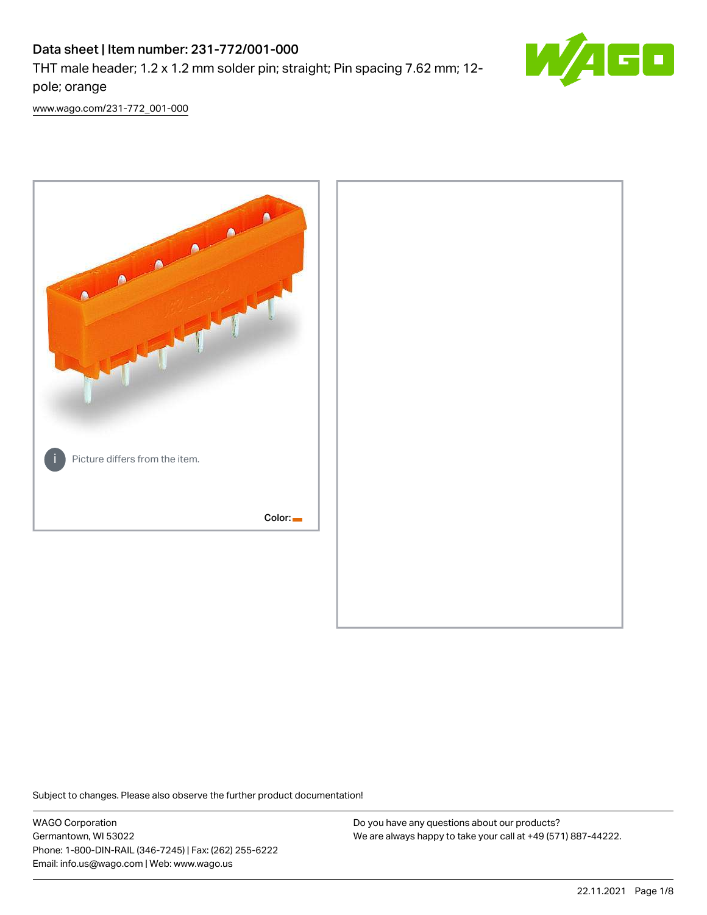# Data sheet | Item number: 231-772/001-000

THT male header; 1.2 x 1.2 mm solder pin; straight; Pin spacing 7.62 mm; 12 pole; orange



[www.wago.com/231-772\\_001-000](http://www.wago.com/231-772_001-000)



Subject to changes. Please also observe the further product documentation!

WAGO Corporation Germantown, WI 53022 Phone: 1-800-DIN-RAIL (346-7245) | Fax: (262) 255-6222 Email: info.us@wago.com | Web: www.wago.us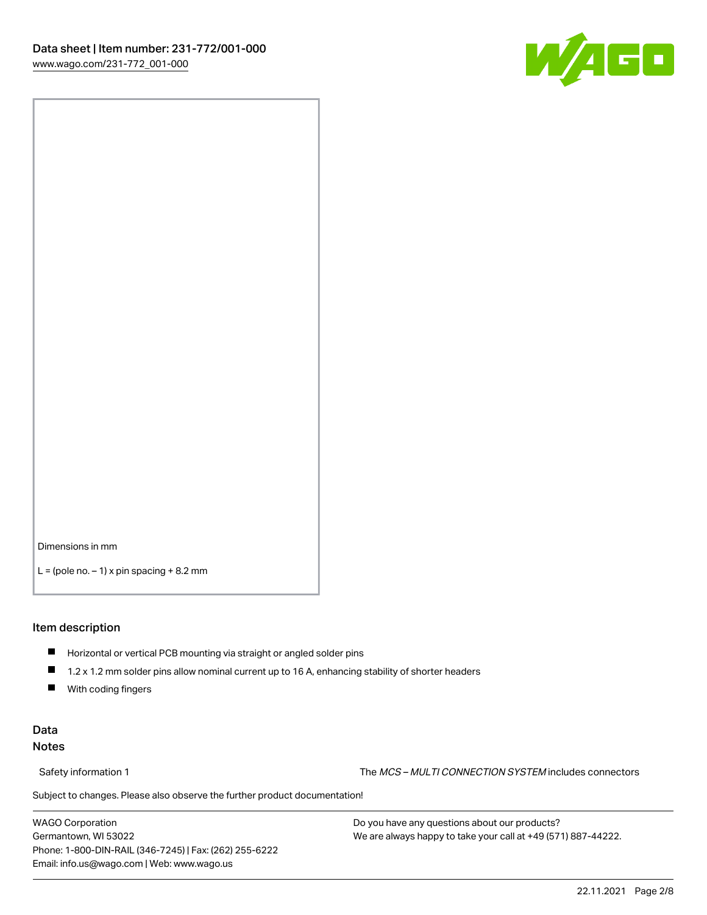![](_page_1_Picture_1.jpeg)

Dimensions in mm

 $L =$  (pole no.  $-1$ ) x pin spacing  $+8.2$  mm

#### Item description

- **Horizontal or vertical PCB mounting via straight or angled solder pins**
- 1.2 x 1.2 mm solder pins allow nominal current up to 16 A, enhancing stability of shorter headers
- $\blacksquare$ With coding fingers

# Data Notes

Safety information 1 The MCS – MULTI CONNECTION SYSTEM includes connectors

Subject to changes. Please also observe the further product documentation!  $\nu$ 

WAGO Corporation Germantown, WI 53022 Phone: 1-800-DIN-RAIL (346-7245) | Fax: (262) 255-6222 Email: info.us@wago.com | Web: www.wago.us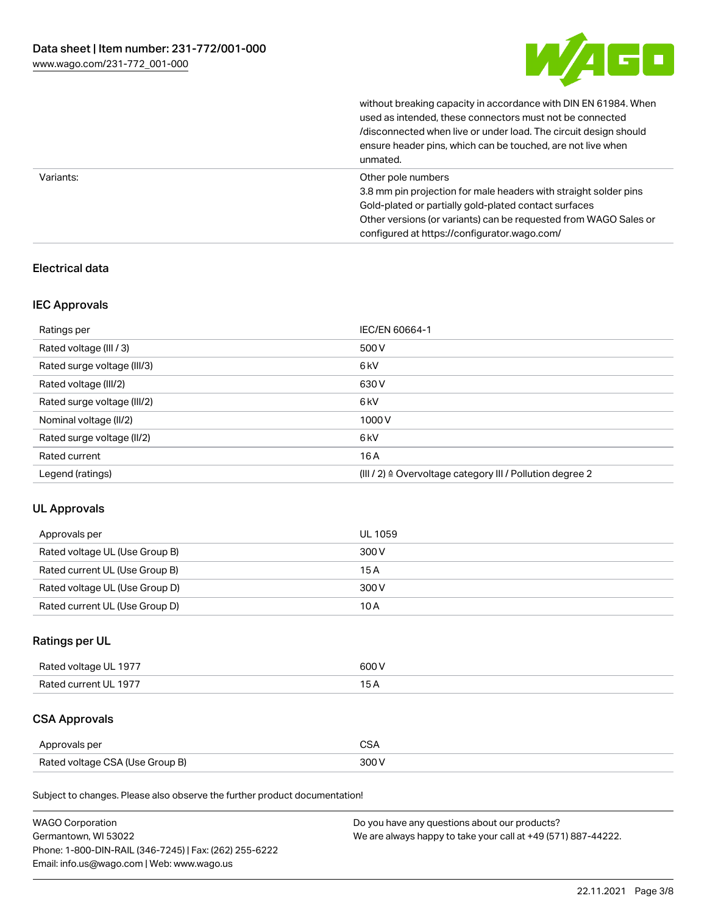![](_page_2_Picture_1.jpeg)

without breaking capacity in accordance with DIN EN 61984. When

|           | used as intended, these connectors must not be connected<br>/disconnected when live or under load. The circuit design should<br>ensure header pins, which can be touched, are not live when<br>unmated.                                                             |
|-----------|---------------------------------------------------------------------------------------------------------------------------------------------------------------------------------------------------------------------------------------------------------------------|
| Variants: | Other pole numbers<br>3.8 mm pin projection for male headers with straight solder pins<br>Gold-plated or partially gold-plated contact surfaces<br>Other versions (or variants) can be requested from WAGO Sales or<br>configured at https://configurator.wago.com/ |

# Electrical data

# IEC Approvals

| Ratings per                 | IEC/EN 60664-1                                                        |
|-----------------------------|-----------------------------------------------------------------------|
| Rated voltage (III / 3)     | 500 V                                                                 |
| Rated surge voltage (III/3) | 6 <sub>kV</sub>                                                       |
| Rated voltage (III/2)       | 630 V                                                                 |
| Rated surge voltage (III/2) | 6 <sub>kV</sub>                                                       |
| Nominal voltage (II/2)      | 1000V                                                                 |
| Rated surge voltage (II/2)  | 6 <sub>kV</sub>                                                       |
| Rated current               | 16A                                                                   |
| Legend (ratings)            | $(III / 2)$ $\triangle$ Overvoltage category III / Pollution degree 2 |

# UL Approvals

| Approvals per                  | UL 1059 |
|--------------------------------|---------|
| Rated voltage UL (Use Group B) | 300 V   |
| Rated current UL (Use Group B) | 15 A    |
| Rated voltage UL (Use Group D) | 300 V   |
| Rated current UL (Use Group D) | 10 A    |

# Ratings per UL

| Rated voltage UL 1977 | 600 V |
|-----------------------|-------|
| Rated current UL 1977 |       |

# CSA Approvals

| Approvals per                   | $\sim$ |
|---------------------------------|--------|
| Rated voltage CSA (Use Group B) | 300 V  |

Subject to changes. Please also observe the further product documentation!

| <b>WAGO Corporation</b>                                | Do you have any questions about our products?                 |
|--------------------------------------------------------|---------------------------------------------------------------|
| Germantown, WI 53022                                   | We are always happy to take your call at +49 (571) 887-44222. |
| Phone: 1-800-DIN-RAIL (346-7245)   Fax: (262) 255-6222 |                                                               |
| Email: info.us@wago.com   Web: www.wago.us             |                                                               |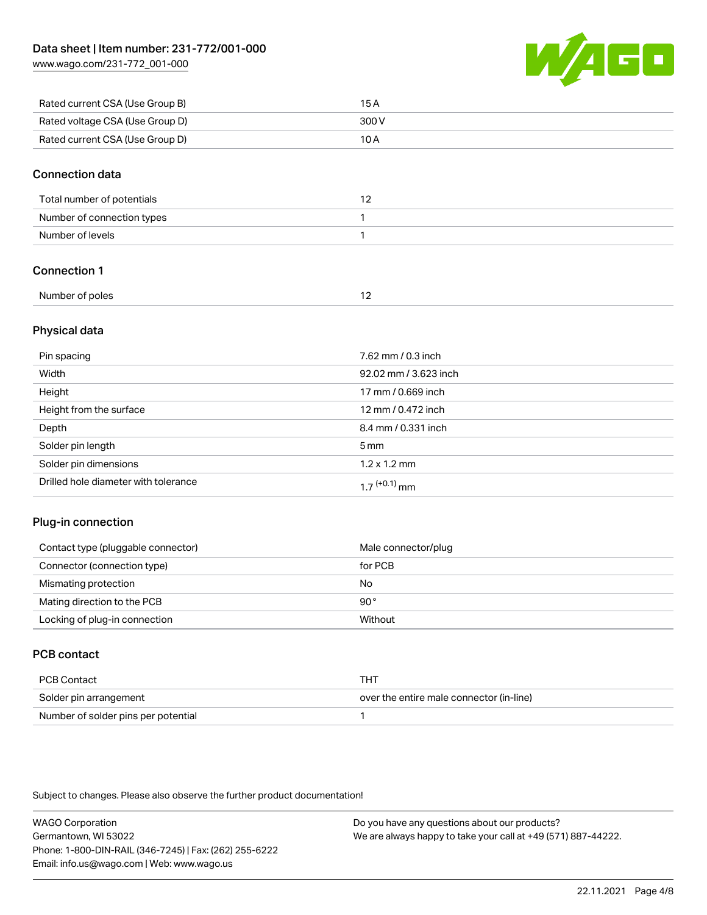[www.wago.com/231-772\\_001-000](http://www.wago.com/231-772_001-000)

![](_page_3_Picture_2.jpeg)

| Rated current CSA (Use Group B) | 15 A  |
|---------------------------------|-------|
| Rated voltage CSA (Use Group D) | 300 V |
| Rated current CSA (Use Group D) | 10 A  |

### Connection data

| Total number of potentials |  |
|----------------------------|--|
| Number of connection types |  |
| Number of levels           |  |

# Connection 1

| Number of poles |  |
|-----------------|--|

# Physical data

| Pin spacing                          | 7.62 mm / 0.3 inch    |
|--------------------------------------|-----------------------|
| Width                                | 92.02 mm / 3.623 inch |
| Height                               | 17 mm / 0.669 inch    |
| Height from the surface              | 12 mm / 0.472 inch    |
| Depth                                | 8.4 mm / 0.331 inch   |
| Solder pin length                    | $5 \,\mathrm{mm}$     |
| Solder pin dimensions                | $1.2 \times 1.2$ mm   |
| Drilled hole diameter with tolerance | $17^{(+0.1)}$ mm      |

# Plug-in connection

| Contact type (pluggable connector) | Male connector/plug |
|------------------------------------|---------------------|
| Connector (connection type)        | for PCB             |
| Mismating protection               | No                  |
| Mating direction to the PCB        | 90°                 |
| Locking of plug-in connection      | Without             |

# PCB contact

| PCB Contact                         | THT                                      |
|-------------------------------------|------------------------------------------|
| Solder pin arrangement              | over the entire male connector (in-line) |
| Number of solder pins per potential |                                          |

Subject to changes. Please also observe the further product documentation!

WAGO Corporation Germantown, WI 53022 Phone: 1-800-DIN-RAIL (346-7245) | Fax: (262) 255-6222 Email: info.us@wago.com | Web: www.wago.us Do you have any questions about our products? We are always happy to take your call at +49 (571) 887-44222.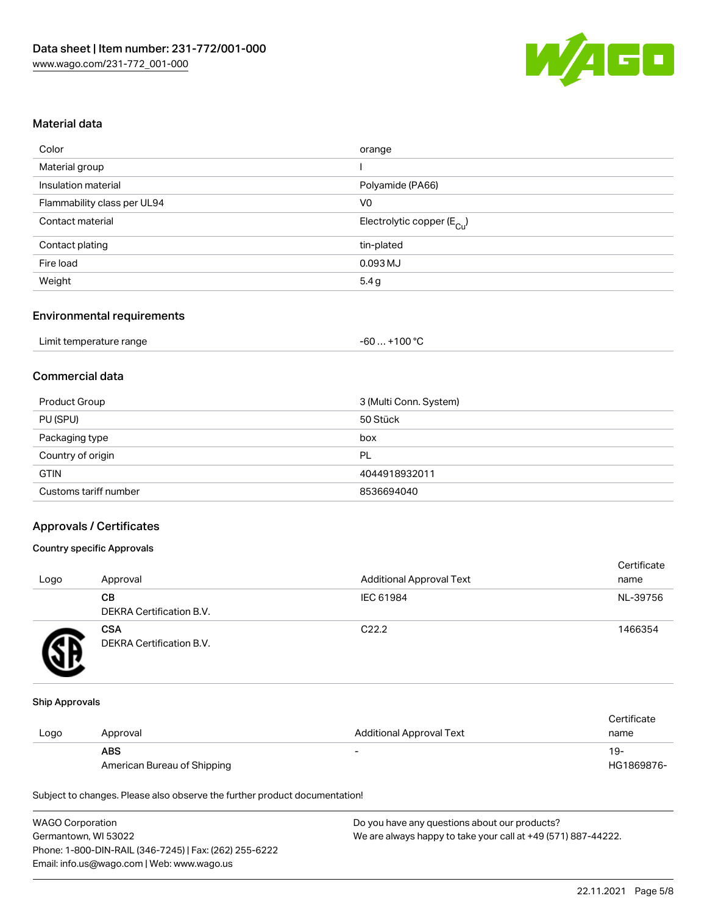![](_page_4_Picture_1.jpeg)

# Material data

| orange                                |
|---------------------------------------|
|                                       |
| Polyamide (PA66)                      |
| V <sub>0</sub>                        |
| Electrolytic copper $(E_{\text{Cl}})$ |
| tin-plated                            |
| $0.093$ MJ                            |
| 5.4g                                  |
|                                       |

### Environmental requirements

| Limit temperature range | $+100 °C$<br>-60 |
|-------------------------|------------------|
|-------------------------|------------------|

# Commercial data

| Product Group         | 3 (Multi Conn. System) |
|-----------------------|------------------------|
| PU (SPU)              | 50 Stück               |
| Packaging type        | box                    |
| Country of origin     | PL                     |
| <b>GTIN</b>           | 4044918932011          |
| Customs tariff number | 8536694040             |

### Approvals / Certificates

### Country specific Approvals

| Logo | Approval                               | <b>Additional Approval Text</b> | Certificate<br>name |
|------|----------------------------------------|---------------------------------|---------------------|
|      | CВ<br>DEKRA Certification B.V.         | IEC 61984                       | NL-39756            |
|      | <b>CSA</b><br>DEKRA Certification B.V. | C <sub>22.2</sub>               | 1466354             |

#### Ship Approvals

|      |                             |                          | Certificate |
|------|-----------------------------|--------------------------|-------------|
| Logo | Approval                    | Additional Approval Text | name        |
|      | <b>ABS</b>                  |                          | 19-         |
|      | American Bureau of Shipping |                          | HG1869876-  |

Subject to changes. Please also observe the further product documentation!

| <b>WAGO Corporation</b>                                | Do you have any questions about our products?                 |
|--------------------------------------------------------|---------------------------------------------------------------|
| Germantown, WI 53022                                   | We are always happy to take your call at +49 (571) 887-44222. |
| Phone: 1-800-DIN-RAIL (346-7245)   Fax: (262) 255-6222 |                                                               |
| Email: info.us@wago.com   Web: www.wago.us             |                                                               |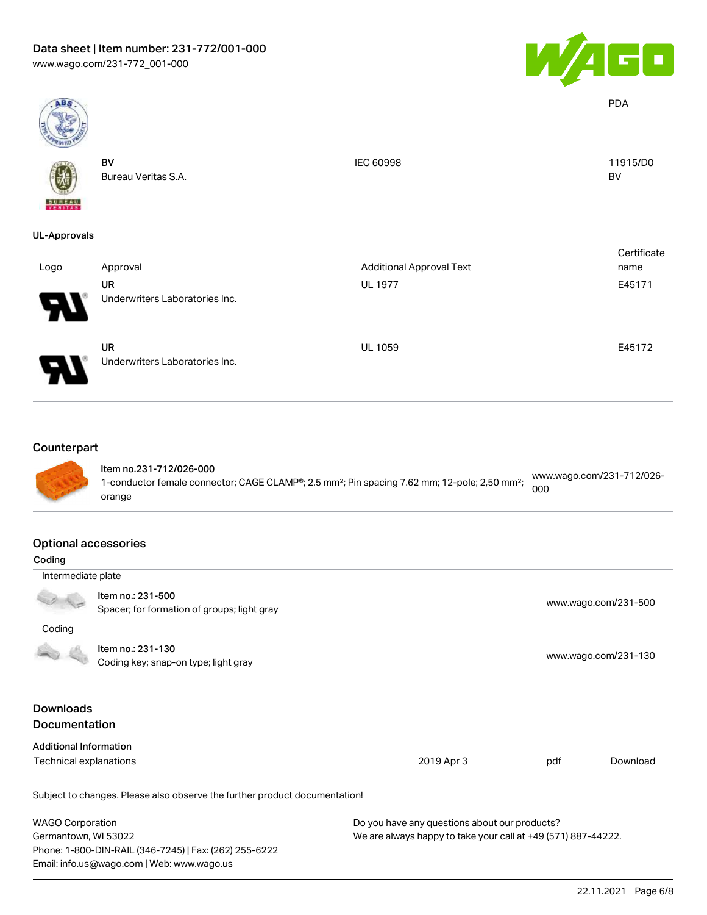![](_page_5_Picture_1.jpeg)

PDA

![](_page_5_Picture_2.jpeg)

| ____          |                     |           |           |
|---------------|---------------------|-----------|-----------|
|               | BV                  | IEC 60998 | 11915/D0  |
| 嚩             | Bureau Veritas S.A. |           | <b>BV</b> |
|               |                     |           |           |
| <b>BUREAU</b> |                     |           |           |

# UL-Approvals

| Logo | Approval                                    | <b>Additional Approval Text</b> | Certificate<br>name |
|------|---------------------------------------------|---------------------------------|---------------------|
| 8    | UR<br>Underwriters Laboratories Inc.        | <b>UL 1977</b>                  | E45171              |
| J    | <b>UR</b><br>Underwriters Laboratories Inc. | <b>UL 1059</b>                  | E45172              |

# **Counterpart**

![](_page_5_Picture_8.jpeg)

#### Item no.231-712/026-000 1-conductor female connector; CAGE CLAMP®; 2.5 mm²; Pin spacing 7.62 mm; 12-pole; 2,50 mm²; orange [www.wago.com/231-712/026-](https://www.wago.com/231-712/026-000) [000](https://www.wago.com/231-712/026-000)

# Optional accessories

| Coding                                                                                |                                                                            |                                               |     |                      |
|---------------------------------------------------------------------------------------|----------------------------------------------------------------------------|-----------------------------------------------|-----|----------------------|
| Intermediate plate                                                                    |                                                                            |                                               |     |                      |
|                                                                                       | Item no.: 231-500                                                          |                                               |     | www.wago.com/231-500 |
|                                                                                       | Spacer; for formation of groups; light gray                                |                                               |     |                      |
| Coding                                                                                |                                                                            |                                               |     |                      |
|                                                                                       | Item no.: 231-130                                                          |                                               |     |                      |
|                                                                                       | Coding key; snap-on type; light gray                                       |                                               |     | www.wago.com/231-130 |
|                                                                                       |                                                                            |                                               |     |                      |
| <b>Downloads</b>                                                                      |                                                                            |                                               |     |                      |
| <b>Documentation</b>                                                                  |                                                                            |                                               |     |                      |
| <b>Additional Information</b>                                                         |                                                                            |                                               |     |                      |
| Technical explanations                                                                |                                                                            | 2019 Apr 3                                    | pdf | Download             |
|                                                                                       | Subject to changes. Please also observe the further product documentation! |                                               |     |                      |
| <b>WAGO Corporation</b>                                                               |                                                                            | Do you have any questions about our products? |     |                      |
| Germantown, WI 53022<br>We are always happy to take your call at +49 (571) 887-44222. |                                                                            |                                               |     |                      |
|                                                                                       | Phone: 1-800-DIN-RAIL (346-7245)   Fax: (262) 255-6222                     |                                               |     |                      |
|                                                                                       | Email: info.us@wago.com   Web: www.wago.us                                 |                                               |     |                      |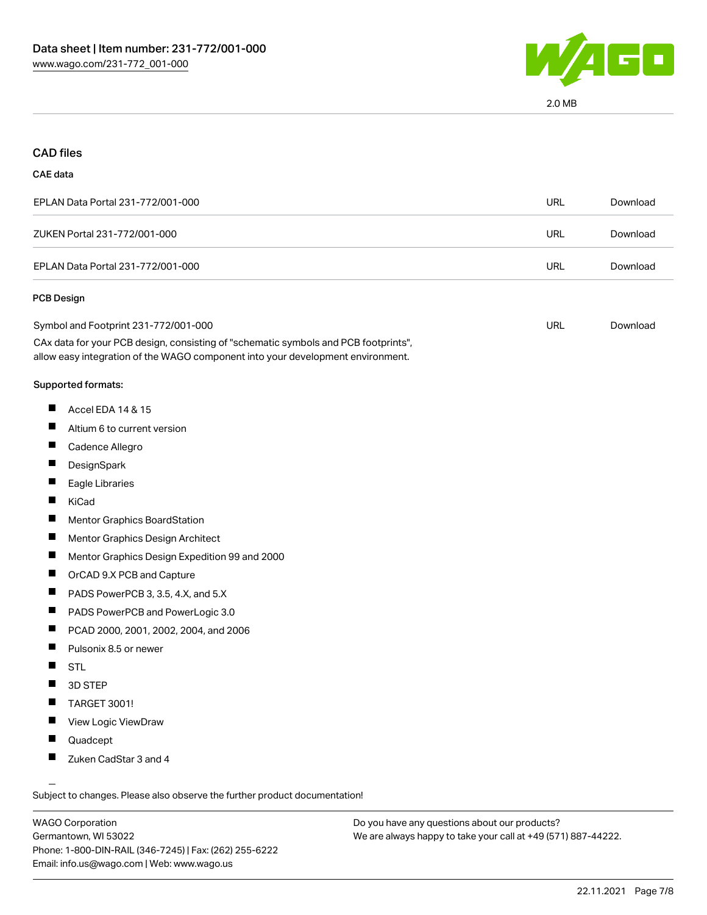![](_page_6_Picture_1.jpeg)

# CAD files

#### CAE data

| EPLAN Data Portal 231-772/001-000 | URL | Download |
|-----------------------------------|-----|----------|
| ZUKEN Portal 231-772/001-000      | URL | Download |
| EPLAN Data Portal 231-772/001-000 | URL | Download |

### PCB Design

| Symbol and Footprint 231-772/001-000                                                | URL | Download |
|-------------------------------------------------------------------------------------|-----|----------|
| CAx data for your PCB design, consisting of "schematic symbols and PCB footprints", |     |          |

allow easy integration of the WAGO component into your development environment.

#### Supported formats:

- $\blacksquare$ Accel EDA 14 & 15
- $\blacksquare$ Altium 6 to current version
- $\blacksquare$ Cadence Allegro
- $\blacksquare$ **DesignSpark**
- $\blacksquare$ Eagle Libraries
- $\blacksquare$ KiCad
- $\blacksquare$ Mentor Graphics BoardStation
- $\blacksquare$ Mentor Graphics Design Architect
- $\blacksquare$ Mentor Graphics Design Expedition 99 and 2000
- $\blacksquare$ OrCAD 9.X PCB and Capture
- $\blacksquare$ PADS PowerPCB 3, 3.5, 4.X, and 5.X
- $\blacksquare$ PADS PowerPCB and PowerLogic 3.0
- $\blacksquare$ PCAD 2000, 2001, 2002, 2004, and 2006
- $\blacksquare$ Pulsonix 8.5 or newer
- $\blacksquare$ STL
- $\blacksquare$ 3D STEP
- $\blacksquare$ TARGET 3001!
- $\blacksquare$ View Logic ViewDraw
- $\blacksquare$ Quadcept
- $\blacksquare$ Zuken CadStar 3 and 4

Subject to changes. Please also observe the further product documentation!

WAGO Corporation Germantown, WI 53022 Phone: 1-800-DIN-RAIL (346-7245) | Fax: (262) 255-6222 Email: info.us@wago.com | Web: www.wago.us